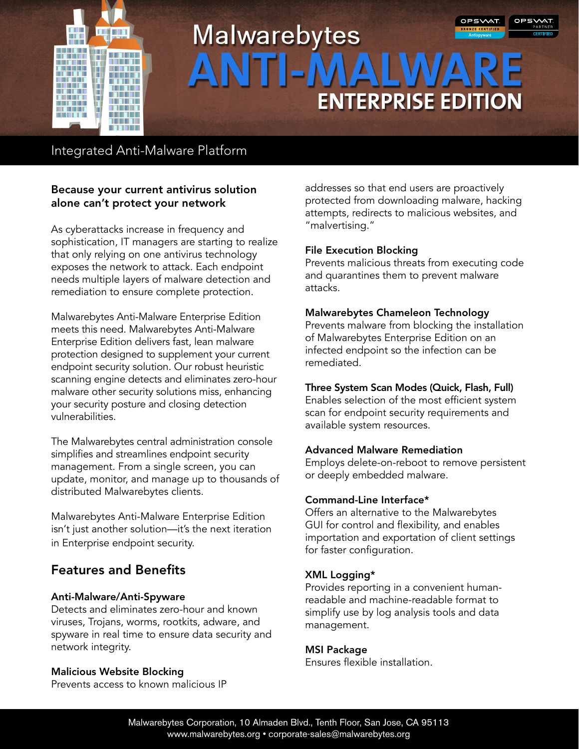

# OPSWAT **Malwarebytes ENTERPRISE EDITION**

# Integrated Anti-Malware Platform

# Because your current antivirus solution alone can't protect your network

As cyberattacks increase in frequency and sophistication, IT managers are starting to realize that only relying on one antivirus technology exposes the network to attack. Each endpoint needs multiple layers of malware detection and remediation to ensure complete protection.

Malwarebytes Anti-Malware Enterprise Edition meets this need. Malwarebytes Anti-Malware Enterprise Edition delivers fast, lean malware protection designed to supplement your current endpoint security solution. Our robust heuristic scanning engine detects and eliminates zero-hour malware other security solutions miss, enhancing your security posture and closing detection vulnerabilities.

The Malwarebytes central administration console simplifies and streamlines endpoint security management. From a single screen, you can update, monitor, and manage up to thousands of distributed Malwarebytes clients.

Malwarebytes Anti-Malware Enterprise Edition isn't just another solution—it's the next iteration in Enterprise endpoint security.

# Features and Benefits

# Anti-Malware/Anti-Spyware

Detects and eliminates zero-hour and known viruses, Trojans, worms, rootkits, adware, and spyware in real time to ensure data security and network integrity.

#### Malicious Website Blocking

Prevents access to known malicious IP

addresses so that end users are proactively protected from downloading malware, hacking attempts, redirects to malicious websites, and "malvertising."

#### File Execution Blocking

Prevents malicious threats from executing code and quarantines them to prevent malware attacks.

#### Malwarebytes Chameleon Technology

Prevents malware from blocking the installation of Malwarebytes Enterprise Edition on an infected endpoint so the infection can be remediated.

# Three System Scan Modes (Quick, Flash, Full)

Enables selection of the most efficient system scan for endpoint security requirements and available system resources.

# Advanced Malware Remediation

Employs delete-on-reboot to remove persistent or deeply embedded malware.

# Command-Line Interface\*

Offers an alternative to the Malwarebytes GUI for control and flexibility, and enables importation and exportation of client settings for faster configuration.

# XML Logging\*

Provides reporting in a convenient humanreadable and machine-readable format to simplify use by log analysis tools and data management.

# MSI Package

Ensures flexible installation.